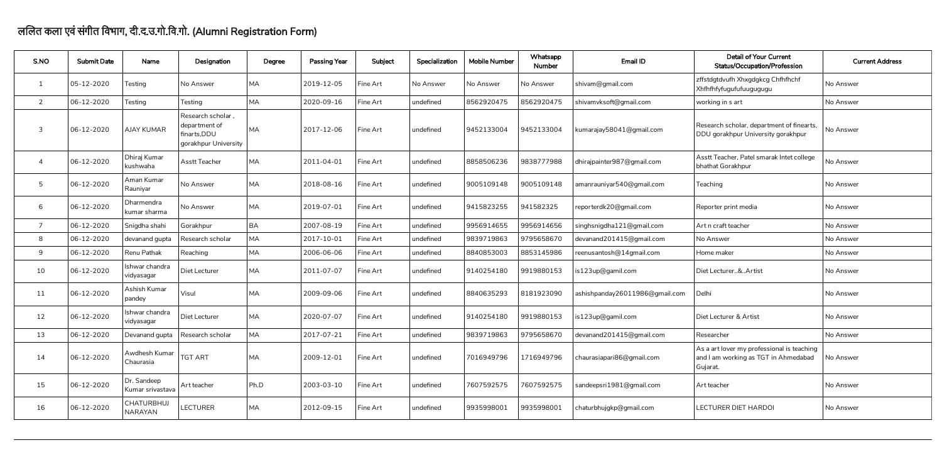## ललत कला एवंसंगीत िवभाग, दी.द.उ.गो.िव.गो. (Alumni Registration Form)

 $\overline{\phantom{a}}$ 

| S.NO           | <b>Submit Date</b> | Name                            | Designation                                                                | Degree     | <b>Passing Year</b> | Subject  | Specialization | <b>Mobile Number</b> | Whatsapp<br><b>Number</b> | Email ID                       | <b>Detail of Your Current</b><br><b>Status/Occupation/Profession</b>                           | <b>Current Address</b> |
|----------------|--------------------|---------------------------------|----------------------------------------------------------------------------|------------|---------------------|----------|----------------|----------------------|---------------------------|--------------------------------|------------------------------------------------------------------------------------------------|------------------------|
|                | 05-12-2020         | Testing                         | No Answer                                                                  | MA         | 2019-12-05          | Fine Art | No Answer      | No Answer            | No Answer                 | shivam@gmail.com               | zffstdgtdvufh Xhxgdgkcg Chfhfhchf<br>Xhfhfhfyfugufufuugugugu                                   | No Answer              |
| $\overline{2}$ | 06-12-2020         | Testing                         | Testing                                                                    | <b>MA</b>  | 2020-09-16          | Fine Art | undefined      | 8562920475           | 8562920475                | shivamvksoft@gmail.com         | working in s art                                                                               | No Answer              |
| $\mathbf{3}$   | 06-12-2020         | <b>AJAY KUMAR</b>               | Research scholar,<br>department of<br>finarts, DDU<br>gorakhpur University | <b>IMA</b> | 2017-12-06          | Fine Art | undefined      | 9452133004           | 9452133004                | kumarajay58041@gmail.com       | Research scholar, department of finearts,<br>DDU gorakhpur University gorakhpur                | No Answer              |
|                | 06-12-2020         | Dhiraj Kumar<br>kushwaha        | <b>Asstt Teacher</b>                                                       | <b>MA</b>  | 2011-04-01          | Fine Art | undefined      | 8858506236           | 9838777988                | dhirajpainter987@gmail.com     | Asstt Teacher, Patel smarak Intet college<br>bhathat Gorakhpur                                 | No Answer              |
| 5              | 06-12-2020         | Aman Kumar<br>  Rauniyar        | No Answer                                                                  | <b>MA</b>  | 2018-08-16          | Fine Art | undefined      | 9005109148           | 9005109148                | amanrauniyar540@gmail.com      | Teaching                                                                                       | No Answer              |
| 6              | 06-12-2020         | Dharmendra<br>kumar sharma      | No Answer                                                                  | <b>MA</b>  | 2019-07-01          | Fine Art | undefined      | 9415823255           | 941582325                 | reporterdk20@gmail.com         | Reporter print media                                                                           | No Answer              |
|                | 06-12-2020         | Snigdha shahi                   | Gorakhpur                                                                  | <b>BA</b>  | 2007-08-19          | Fine Art | undefined      | 9956914655           | 9956914656                | singhsnigdha121@gmail.com      | Art n craft teacher                                                                            | No Answer              |
| 8              | 06-12-2020         | devanand gupta                  | Research scholar                                                           | <b>MA</b>  | 2017-10-01          | Fine Art | undefined      | 9839719863           | 9795658670                | devanand201415@gmail.com       | No Answer                                                                                      | No Answer              |
| 9              | 06-12-2020         | Renu Pathak                     | Reaching                                                                   | <b>MA</b>  | 2006-06-06          | Fine Art | undefined      | 8840853003           | 8853145986                | reenusantosh@14gmail.com       | Home maker                                                                                     | No Answer              |
| 10             | 06-12-2020         | Ishwar chandra<br>vidyasagar    | Diet Lecturer                                                              | <b>MA</b>  | 2011-07-07          | Fine Art | undefined      | 9140254180           | 9919880153                | is123up@gamil.com              | Diet Lecturer&Artist                                                                           | No Answer              |
| 11             | 06-12-2020         | Ashish Kumar<br>pandey          | Visul                                                                      | MA         | 2009-09-06          | Fine Art | undefined      | 8840635293           | 8181923090                | ashishpanday26011986@gmail.com | Delhi                                                                                          | No Answer              |
| 12             | 06-12-2020         | Ishwar chandra<br>vidyasagar    | Diet Lecturer                                                              | <b>MA</b>  | 2020-07-07          | Fine Art | undefined      | 9140254180           | 9919880153                | is123up@gamil.com              | Diet Lecturer & Artist                                                                         | No Answer              |
| 13             | 06-12-2020         | Devanand gupta                  | Research scholar                                                           | <b>MA</b>  | 2017-07-21          | Fine Art | undefined      | 9839719863           | 9795658670                | devanand201415@gmail.com       | Researcher                                                                                     | No Answer              |
| 14             | 06-12-2020         | Awdhesh Kumar<br>Chaurasia      | <b>TGT ART</b>                                                             | <b>MA</b>  | 2009-12-01          | Fine Art | undefined      | 7016949796           | 1716949796                | chaurasiapari86@gmail.com      | As a art lover my professional is teaching<br>and I am working as TGT in Ahmedabad<br>Gujarat. | No Answer              |
| 15             | 06-12-2020         | Dr. Sandeep<br>Kumar srivastava | Art teacher                                                                | Ph.D       | 2003-03-10          | Fine Art | undefined      | 7607592575           | 7607592575                | sandeepsri1981@gmail.com       | Art teacher                                                                                    | No Answer              |
| 16             | 06-12-2020         | <b>CHATURBHUJ</b><br>NARAYAN    | <b>LECTURER</b>                                                            | <b>MA</b>  | 2012-09-15          | Fine Art | undefined      | 9935998001           | 9935998001                | chaturbhujgkp@gmail.com        | LECTURER DIET HARDOI                                                                           | No Answer              |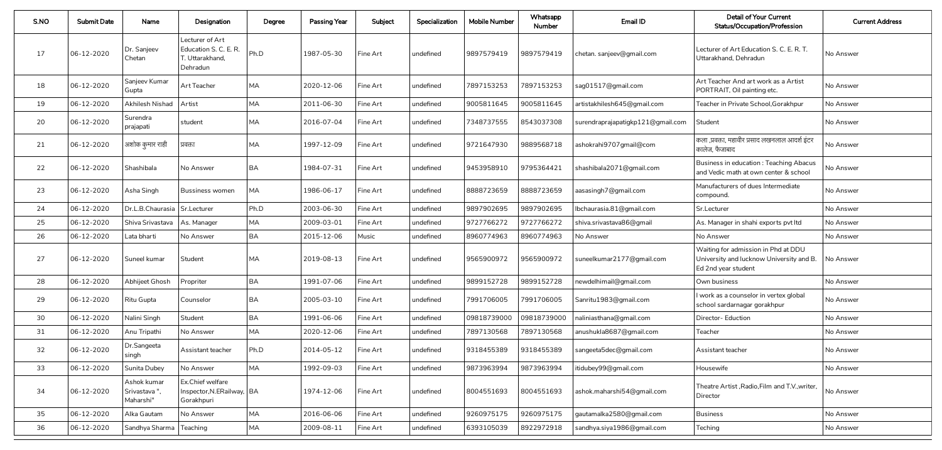| S.NO | <b>Submit Date</b> | Name                                     | Designation                                                             | Degree    | <b>Passing Year</b> | Subject  | Specialization | <b>Mobile Number</b> | Whatsapp<br><b>Number</b> | Email ID                          | <b>Detail of Your Current</b><br><b>Status/Occupation/Profession</b>                                             | <b>Current Address</b> |
|------|--------------------|------------------------------------------|-------------------------------------------------------------------------|-----------|---------------------|----------|----------------|----------------------|---------------------------|-----------------------------------|------------------------------------------------------------------------------------------------------------------|------------------------|
| 17   | 06-12-2020         | Dr. Sanjeev<br>Chetan                    | Lecturer of Art<br>Education S. C. E. R.<br>T. Uttarakhand,<br>Dehradun | Ph.D      | 1987-05-30          | Fine Art | undefined      | 9897579419           | 9897579419                | chetan. sanjeev@gmail.com         | Lecturer of Art Education S. C. E. R. T.<br>Uttarakhand, Dehradun                                                | No Answer              |
| 18   | 06-12-2020         | Sanjeev Kumar<br>Gupta                   | Art Teacher                                                             | MA        | 2020-12-06          | Fine Art | undefined      | 7897153253           | 7897153253                | sag01517@gmail.com                | Art Teacher And art work as a Artist<br>PORTRAIT, Oil painting etc.                                              | No Answer              |
| 19   | $ 06-12-2020 $     | Akhilesh Nishad   Artist                 |                                                                         | MA        | 2011-06-30          | Fine Art | undefined      | 9005811645           | 9005811645                | artistakhilesh645@gmail.com       | Teacher in Private School, Gorakhpur                                                                             | No Answer              |
| 20   | 06-12-2020         | Surendra<br>prajapati                    | student                                                                 | MA        | 2016-07-04          | Fine Art | undefined      | 7348737555           | 8543037308                | surendraprajapatigkp121@gmail.com | Student                                                                                                          | No Answer              |
| 21   | 06-12-2020         | अशोक कुमार राही                          | प्रवक्ता                                                                | MA        | 1997-12-09          | Fine Art | undefined      | 9721647930           | 9889568718                | ashokrahi9707gmail@com            | कला ,प्रवक्ता, महावीर प्रसाद लखनलाल आदर्श इंटर<br>कालेज. फैजाबाद                                                 | No Answer              |
| 22   | 06-12-2020         | Shashibala                               | No Answer                                                               | <b>BA</b> | 1984-07-31          | Fine Art | undefined      | 9453958910           | 9795364421                | shashibala2071@gmail.com          | Business in education: Teaching Abacus<br>and Vedic math at own center & school                                  | No Answer              |
| 23   | 06-12-2020         | Asha Singh                               | <b>Bussiness women</b>                                                  | MA        | 1986-06-17          | Fine Art | undefined      | 8888723659           | 8888723659                | aasasingh7@gmail.com              | Manufacturers of dues Intermediate<br>compound.                                                                  | No Answer              |
| 24   | 06-12-2020         | Dr.L.B.Chaurasia   Sr.Lecturer           |                                                                         | Ph.D      | 2003-06-30          | Fine Art | undefined      | 9897902695           | 9897902695                | lbchaurasia.81@gmail.com          | Sr.Lecturer                                                                                                      | No Answer              |
| 25   | 06-12-2020         | Shiva Srivastava   As. Manager           |                                                                         | MA        | 2009-03-01          | Fine Art | undefined      | 9727766272           | 9727766272                | shiva.srivastava86@gmail          | As. Manager in shahi exports pvt Itd                                                                             | No Answer              |
| 26   | 06-12-2020         | Lata bharti                              | No Answer                                                               | <b>BA</b> | 2015-12-06          | Music    | undefined      | 8960774963           | 8960774963                | No Answer                         | No Answer                                                                                                        | No Answer              |
| 27   | 06-12-2020         | Suneel kumar                             | Student                                                                 | МA        | 2019-08-13          | Fine Art | undefined      | 9565900972           | 9565900972                | suneelkumar2177@gmail.com         | Waiting for admission in Phd at DDU<br>University and lucknow University and B. No Answer<br>Ed 2nd year student |                        |
| 28   | 06-12-2020         | Abhijeet Ghosh                           | Propriter                                                               | <b>BA</b> | 1991-07-06          | Fine Art | undefined      | 9899152728           | 9899152728                | newdelhimail@gmail.com            | Own business                                                                                                     | No Answer              |
| 29   | 06-12-2020         | Ritu Gupta                               | Counselor                                                               | <b>BA</b> | 2005-03-10          | Fine Art | undefined      | 7991706005           | 7991706005                | Sanritu1983@gmail.com             | I work as a counselor in vertex global<br>school sardarnagar gorakhpur                                           | No Answer              |
| 30   | 06-12-2020         | Nalini Singh                             | Student                                                                 | BA        | 1991-06-06          | Fine Art | undefined      | 09818739000          | 09818739000               | naliniasthana@gmail.com           | Director- Eduction                                                                                               | No Answer              |
| 31   | 06-12-2020         | Anu Tripathi                             | No Answer                                                               | MA        | 2020-12-06          | Fine Art | undefined      | 7897130568           | 7897130568                | anushukla8687@gmail.com           | Teacher                                                                                                          | No Answer              |
| 32   | 06-12-2020         | Dr.Sangeeta<br>singh                     | Assistant teacher                                                       | Ph.D      | 2014-05-12          | Fine Art | undefined      | 9318455389           | 9318455389                | sangeeta5dec@gmail.com            | Assistant teacher                                                                                                | No Answer              |
| 33   | 06-12-2020         | Sunita Dubey                             | No Answer                                                               | MA        | 1992-09-03          | Fine Art | undefined      | 9873963994           | 9873963994                | itidubey99@gmail.com              | Housewife                                                                                                        | No Answer              |
| 34   | 06-12-2020         | Ashok kumar<br>Srivastava",<br>Maharshi" | Ex.Chief welfare<br>Inspector, N.ERailway,   BA<br>Gorakhpuri           |           | 1974-12-06          | Fine Art | undefined      | 8004551693           | 8004551693                | ashok.maharshi54@gmail.com        | Theatre Artist, Radio, Film and T.V., writer,<br>Director                                                        | No Answer              |
| 35   | 06-12-2020         | Alka Gautam                              | No Answer                                                               | MA        | 2016-06-06          | Fine Art | undefined      | 9260975175           | 9260975175                | gautamalka2580@gmail.com          | <b>Business</b>                                                                                                  | No Answer              |
| 36   | 06-12-2020         | Sandhya Sharma Teaching                  |                                                                         | MA        | 2009-08-11          | Fine Art | undefined      | 6393105039           | 8922972918                | sandhya.siya1986@gmail.com        | Teching                                                                                                          | No Answer              |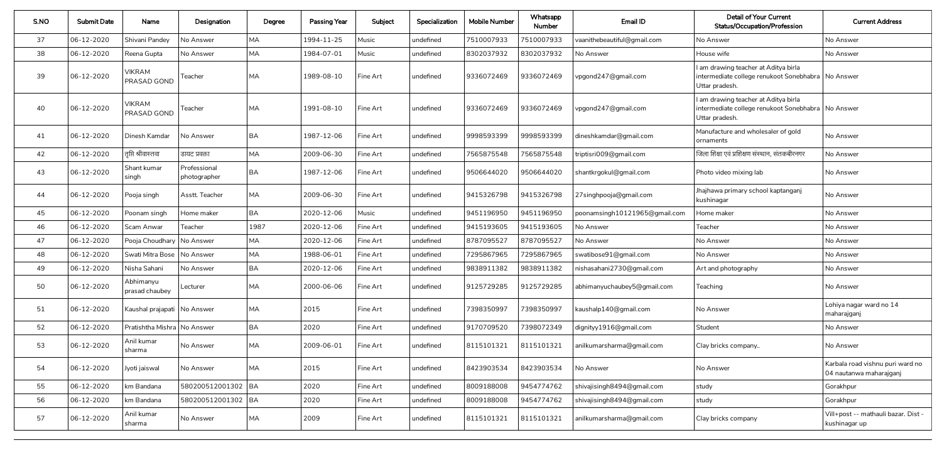| S.NO | <b>Submit Date</b> | Name                          | Designation                  | Degree    | <b>Passing Year</b> | Subject      | Specialization | <b>Mobile Number</b> | Whatsapp<br><b>Number</b> | Email ID                      | <b>Detail of Your Current</b><br><b>Status/Occupation/Profession</b>                                           | <b>Current Address</b>                                      |
|------|--------------------|-------------------------------|------------------------------|-----------|---------------------|--------------|----------------|----------------------|---------------------------|-------------------------------|----------------------------------------------------------------------------------------------------------------|-------------------------------------------------------------|
| 37   | 06-12-2020         | Shivani Pandey                | No Answer                    | МA        | 1994-11-25          | <b>Music</b> | undefined      | 7510007933           | 7510007933                | vaanithebeautiful@gmail.com   | No Answer                                                                                                      | No Answer                                                   |
| 38   | 06-12-2020         | Reena Gupta                   | No Answer                    | <b>MA</b> | 1984-07-01          | Music        | undefined      | 8302037932           | 8302037932                | No Answer                     | House wife                                                                                                     | No Answer                                                   |
| 39   | 06-12-2020         | <b>VIKRAM</b><br>PRASAD GOND  | Teacher                      | MA        | 1989-08-10          | Fine Art     | undefined      | 9336072469           | 9336072469                | vpgond247@gmail.com           | I am drawing teacher at Aditya birla<br>intermediate college renukoot Sonebhabra   No Answer<br>Uttar pradesh. |                                                             |
| 40   | 06-12-2020         | <b>VIKRAM</b><br>PRASAD GOND  | Teacher                      | MA        | 1991-08-10          | Fine Art     | undefined      | 9336072469           | 9336072469                | vpgond247@gmail.com           | I am drawing teacher at Aditya birla<br>intermediate college renukoot Sonebhabra   No Answer<br>Uttar pradesh. |                                                             |
| 41   | 06-12-2020         | Dinesh Kamdar                 | No Answer                    | <b>BA</b> | 1987-12-06          | Fine Art     | undefined      | 9998593399           | 9998593399                | dineshkamdar@gmail.com        | Manufacture and wholesaler of gold<br>ornaments                                                                | No Answer                                                   |
| 42   | 06-12-2020         | तृप्ति श्रीवास्तवा            | डायट प्रवक्ता                | MA        | 2009-06-30          | Fine Art     | undefined      | 7565875548           | 7565875548                | triptisri009@gmail.com        | जिला शिक्षा एवं प्रशिक्षण संस्थान, संतकबीरनगर                                                                  | No Answer                                                   |
| 43   | 06-12-2020         | Shant kumar<br>singh          | Professional<br>photographer | <b>BA</b> | 1987-12-06          | Fine Art     | undefined      | 9506644020           | 9506644020                | shantkrgokul@gmail.com        | Photo video mixing lab                                                                                         | No Answer                                                   |
| 44   | 06-12-2020         | Pooja singh                   | Asstt. Teacher               | MA        | 2009-06-30          | Fine Art     | undefined      | 9415326798           | 9415326798                | 27singhpooja@gmail.com        | Jhajhawa primary school kaptanganj<br>kushinagar                                                               | No Answer                                                   |
| 45   | 06-12-2020         | Poonam singh                  | Home maker                   | <b>BA</b> | 2020-12-06          | Music        | undefined      | 9451196950           | 9451196950                | poonamsingh10121965@gmail.com | Home maker                                                                                                     | No Answer                                                   |
| 46   | 06-12-2020         | Scam Anwar                    | Teacher                      | 1987      | 2020-12-06          | Fine Art     | undefined      | 9415193605           | 9415193605                | No Answer                     | Teacher                                                                                                        | No Answer                                                   |
| 47   | 06-12-2020         | Pooja Choudhary   No Answer   |                              | MA        | 2020-12-06          | Fine Art     | undefined      | 8787095527           | 8787095527                | No Answer                     | No Answer                                                                                                      | No Answer                                                   |
| 48   | 06-12-2020         | Swati Mitra Bose   No Answer  |                              | MA        | 1988-06-01          | Fine Art     | undefined      | 7295867965           | 7295867965                | swatibose91@gmail.com         | No Answer                                                                                                      | No Answer                                                   |
| 49   | 06-12-2020         | Nisha Sahani                  | No Answer                    | <b>BA</b> | 2020-12-06          | Fine Art     | undefined      | 9838911382           | 9838911382                | nishasahani2730@gmail.com     | Art and photography                                                                                            | No Answer                                                   |
| 50   | 06-12-2020         | Abhimanyu<br>prasad chaubey   | Lecturer                     | MA        | 2000-06-06          | Fine Art     | undefined      | 9125729285           | 9125729285                | abhimanyuchaubey5@gmail.com   | Teaching                                                                                                       | No Answer                                                   |
| 51   | 06-12-2020         | Kaushal prajapati   No Answer |                              | MA        | 2015                | Fine Art     | undefined      | 7398350997           | 7398350997                | kaushalp140@gmail.com         | No Answer                                                                                                      | Lohiya nagar ward no 14<br>maharajganj                      |
| 52   | 06-12-2020         | Pratishtha Mishra No Answer   |                              | BA        | 2020                | Fine Art     | undefined      | 9170709520           | 7398072349                | dignityy1916@gmail.com        | Student                                                                                                        | No Answer                                                   |
| 53   | 06-12-2020         | Anil kumar<br>sharma          | No Answer                    | MA        | 2009-06-01          | Fine Art     | undefined      | 8115101321           | 8115101321                | anilkumarsharma@gmail.com     | Clay bricks company                                                                                            | No Answer                                                   |
| 54   | 06-12-2020         | Jyoti jaiswal                 | No Answer                    | <b>MA</b> | 2015                | Fine Art     | undefined      | 8423903534           | 8423903534                | No Answer                     | No Answer                                                                                                      | Karbala road vishnu puri ward no<br>04 nautanwa maharajganj |
| 55   | 06-12-2020         | km Bandana                    | 580200512001302 BA           |           | 2020                | Fine Art     | undefined      | 8009188008           | 9454774762                | shivajisingh8494@gmail.com    | study                                                                                                          | Gorakhpur                                                   |
| 56   | 06-12-2020         | km Bandana                    | 580200512001302 BA           |           | 2020                | Fine Art     | undefined      | 8009188008           | 9454774762                | shivajisingh8494@gmail.com    | study                                                                                                          | Gorakhpur                                                   |
| 57   | 06-12-2020         | Anil kumar<br>sharma          | No Answer                    | MA        | 2009                | Fine Art     | undefined      | 8115101321           | 8115101321                | anilkumarsharma@gmail.com     | Clay bricks company                                                                                            | Vill+post -- mathauli bazar. Dist -<br>kushinagar up        |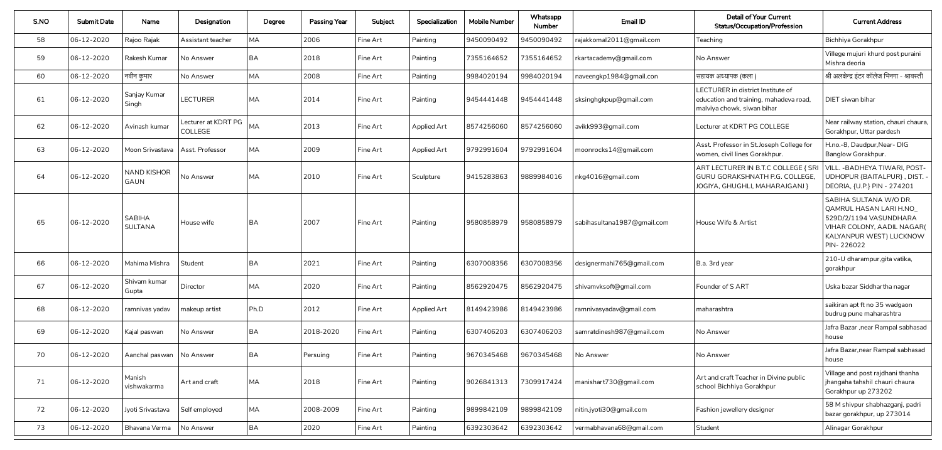| S.NO | <b>Submit Date</b> | Name                              | Designation                    | Degree    | <b>Passing Year</b> | Subject  | Specialization     | <b>Mobile Number</b> | Whatsapp<br><b>Number</b> | Email ID                    | <b>Detail of Your Current</b><br><b>Status/Occupation/Profession</b>                                      | <b>Current Address</b>                                                                                                                                    |
|------|--------------------|-----------------------------------|--------------------------------|-----------|---------------------|----------|--------------------|----------------------|---------------------------|-----------------------------|-----------------------------------------------------------------------------------------------------------|-----------------------------------------------------------------------------------------------------------------------------------------------------------|
| 58   | 06-12-2020         | Rajoo Rajak                       | Assistant teacher              | <b>MA</b> | 2006                | Fine Art | Painting           | 9450090492           | 9450090492                | rajakkomal2011@gmail.com    | Teaching                                                                                                  | Bichhiya Gorakhpur                                                                                                                                        |
| 59   | 06-12-2020         | Rakesh Kumar                      | No Answer                      | <b>BA</b> | 2018                | Fine Art | Painting           | 7355164652           | 7355164652                | rkartacademy@gmail.com      | No Answer                                                                                                 | Villege mujuri khurd post puraini<br>Mishra deoria                                                                                                        |
| 60   | 06-12-2020         | नवीन कुमार                        | No Answer                      | MA        | 2008                | Fine Art | Painting           | 9984020194           | 9984020194                | naveengkp1984@gmail.con     | सहायक अध्यापक (कला )                                                                                      | श्री अलक्षेन्द्र इंटर कॉलेज भिनगा - श्रावस्ती                                                                                                             |
| 61   | 06-12-2020         | Sanjay Kumar<br>Singh             | <b>LECTURER</b>                | MA        | 2014                | Fine Art | Painting           | 9454441448           | 9454441448                | sksinghgkpup@gmail.com      | LECTURER in district Institute of<br>education and training, mahadeva road,<br>malviya chowk, siwan bihar | DIET siwan bihar                                                                                                                                          |
| 62   | 06-12-2020         | Avinash kumar                     | Lecturer at KDRT PG<br>COLLEGE | <b>MA</b> | $\vert 2013$        | Fine Art | <b>Applied Art</b> | 8574256060           | 8574256060                | avikk993@gmail.com          | Lecturer at KDRT PG COLLEGE                                                                               | Near railway station, chauri chaura,<br>Gorakhpur, Uttar pardesh                                                                                          |
| 63   | 06-12-2020         | Moon Srivastava   Asst. Professor |                                | <b>MA</b> | 2009                | Fine Art | Applied Art        | 9792991604           | 9792991604                | moonrocks14@gmail.com       | Asst. Professor in St. Joseph College for<br>women, civil lines Gorakhpur.                                | H.no.-8, Daudpur, Near-DIG<br>Banglow Gorakhpur.                                                                                                          |
| 64   | 06-12-2020         | <b>NAND KISHOR</b><br>GAUN        | No Answer                      | <b>MA</b> | $\vert 2010$        | Fine Art | Sculpture          | 9415283863           | 9889984016                | nkg4016@gmail.com           | ART LECTURER IN B.T.C COLLEGE { SRI<br>GURU GORAKSHNATH P.G. COLLEGE,<br>JOGIYA, GHUGHLI, MAHARAJGANJ }   | <b>VILL. - BADHEYA TIWARI, POST-</b><br>UDHOPUR {BAITALPUR}, DIST. -<br>DEORIA, {U.P.} PIN - 274201                                                       |
| 65   | 06-12-2020         | <b>SABIHA</b><br><b>SULTANA</b>   | House wife                     | <b>BA</b> | 2007                | Fine Art | Painting           | 9580858979           | 9580858979                | sabihasultana1987@gmail.com | House Wife & Artist                                                                                       | SABIHA SULTANA W/O DR.<br><b>QAMRUL HASAN LARI H.NO_</b><br>529D/2/1194 VASUNDHARA<br>VIHAR COLONY, AADIL NAGAR(<br>KALYANPUR WEST) LUCKNOW<br>PIN-226022 |
| 66   | 06-12-2020         | Mahima Mishra Student             |                                | <b>BA</b> | 2021                | Fine Art | Painting           | 6307008356           | 6307008356                | designermahi765@gmail.com   | B.a. 3rd year                                                                                             | 210-U dharampur, gita vatika,<br>gorakhpur                                                                                                                |
| 67   | 06-12-2020         | Shivam kumar<br>Gupta             | Director                       | MA        | 2020                | Fine Art | Painting           | 8562920475           | 8562920475                | shivamvksoft@gmail.com      | Founder of S ART                                                                                          | Uska bazar Siddhartha nagar                                                                                                                               |
| 68   | 06-12-2020         | ramnivas yadav                    | makeup artist                  | Ph.D      | 2012                | Fine Art | <b>Applied Art</b> | 8149423986           | 8149423986                | ramnivasyadav@gmail.com     | maharashtra                                                                                               | saikiran apt ft no 35 wadgaon<br>budrug pune maharashtra                                                                                                  |
| 69   | 06-12-2020         | Kajal paswan                      | No Answer                      | <b>BA</b> | 2018-2020           | Fine Art | Painting           | 6307406203           | 6307406203                | samratdinesh987@gmail.com   | No Answer                                                                                                 | Jafra Bazar , near Rampal sabhasad<br>house                                                                                                               |
| 70   | 06-12-2020         | Aanchal paswan   No Answer        |                                | BA        | Persuing            | Fine Art | Painting           | 9670345468           | 9670345468                | No Answer                   | No Answer                                                                                                 | Jafra Bazar, near Rampal sabhasad<br>house                                                                                                                |
| 71   | 06-12-2020         | Manish<br>vishwakarma             | Art and craft                  | <b>MA</b> | 2018                | Fine Art | Painting           | 9026841313           | 7309917424                | manishart730@gmail.com      | Art and craft Teacher in Divine public<br>school Bichhiya Gorakhpur                                       | Village and post rajdhani thanha<br>jhangaha tahshil chauri chaura<br>Gorakhpur up 273202                                                                 |
| 72   | 06-12-2020         | Jyoti Srivastava                  | Self employed                  | <b>MA</b> | 2008-2009           | Fine Art | Painting           | 9899842109           | 9899842109                | nitin.jyoti30@gmail.com     | Fashion jewellery designer                                                                                | 58 M shivpur shabhazganj, padri<br>bazar gorakhpur, up 273014                                                                                             |
| 73   | 06-12-2020         | Bhavana Verma                     | No Answer                      | <b>BA</b> | 2020                | Fine Art | Painting           | 6392303642           | 6392303642                | vermabhavana68@gmail.com    | Student                                                                                                   | Alinagar Gorakhpur                                                                                                                                        |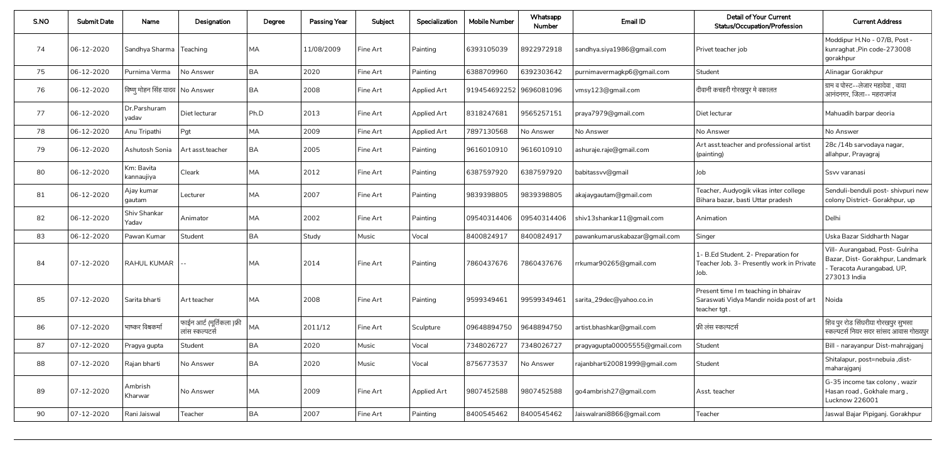| S.NO | <b>Submit Date</b> | Name                             | Designation                                   | Degree    | <b>Passing Year</b> | Subject  | Specialization     | <b>Mobile Number</b>    | Whatsapp<br><b>Number</b> | Email ID                            | <b>Detail of Your Current</b><br><b>Status/Occupation/Profession</b>                             | <b>Current Address</b>                                                                                            |
|------|--------------------|----------------------------------|-----------------------------------------------|-----------|---------------------|----------|--------------------|-------------------------|---------------------------|-------------------------------------|--------------------------------------------------------------------------------------------------|-------------------------------------------------------------------------------------------------------------------|
| 74   | 06-12-2020         | Sandhya Sharma   Teaching        |                                               | <b>MA</b> | 11/08/2009          | Fine Art | Painting           | 6393105039              | 8922972918                | sandhya.siya1986@gmail.com          | Privet teacher job                                                                               | Moddipur H.No - 07/B, Post -<br>kunraghat ,Pin code-273008<br>gorakhpur                                           |
| 75   | 06-12-2020         | Purnima Verma                    | No Answer                                     | <b>BA</b> | 2020                | Fine Art | Painting           | 6388709960              | 6392303642                | purnimavermagkp6@gmail.com          | Student                                                                                          | Alinagar Gorakhpur                                                                                                |
| 76   | 06-12-2020         | विष्णू मोहन सिंह यादव  No Answer |                                               | BA        | 2008                | Fine Art | Applied Art        | 919454692252 9696081096 |                           | vmsy123@gmail.com                   | दीवानी कचहरी गोरखपुर मे वकालत                                                                    | ग्राम व पोस्ट--लेजार महादेवा , वाया<br>आनंदनगर, जिला-- महराजगंज                                                   |
| 77   | 06-12-2020         | Dr.Parshuram<br>yadav            | Diet lecturar                                 | Ph.D      | 2013                | Fine Art | <b>Applied Art</b> | 8318247681              | 9565257151                | praya7979@gmail.com                 | Diet lecturar                                                                                    | Mahuadih barpar deoria                                                                                            |
| 78   | 06-12-2020         | Anu Tripathi                     | Pgt                                           | <b>MA</b> | 2009                | Fine Art | Applied Art        | 7897130568              | No Answer                 | No Answer                           | No Answer                                                                                        | No Answer                                                                                                         |
| 79   | 06-12-2020         | Ashutosh Sonia                   | Art asst.teacher                              | <b>BA</b> | 2005                | Fine Art | Painting           | 9616010910              | 9616010910                | ashuraje.raje@gmail.com             | Art asst teacher and professional artist<br>(painting)                                           | 28c /14b sarvodaya nagar,<br>allahpur, Prayagraj                                                                  |
| 80   | 06-12-2020         | Km: Bavita<br>  kannaujiya       | Cleark                                        | <b>MA</b> | 2012                | Fine Art | Painting           | 6387597920              | 6387597920                | babitassvv@gmail                    | Job                                                                                              | Ssvv varanasi                                                                                                     |
| 81   | 06-12-2020         | Ajay kumar<br>gautam             | Lecturer                                      | <b>MA</b> | 2007                | Fine Art | Painting           | 9839398805              | 9839398805                | akajaygautam@gmail.com              | Teacher, Audyogik vikas inter college<br>Bihara bazar, basti Uttar pradesh                       | Senduli-benduli post- shivpuri new<br>colony District- Gorakhpur, up                                              |
| 82   | 06-12-2020         | Shiv Shankar<br>Yadav            | Animator                                      | <b>MA</b> | 2002                | Fine Art | Painting           | 09540314406             | 09540314406               | shiv13shankar11@gmail.com           | Animation                                                                                        | Delhi                                                                                                             |
| 83   | 06-12-2020         | Pawan Kumar                      | Student                                       | <b>BA</b> | Study               | Music    | Vocal              | 8400824917              | 8400824917                | pawankumaruskabazar@gmail.com       | Singer                                                                                           | Uska Bazar Siddharth Nagar                                                                                        |
| 84   | 07-12-2020         | RAHUL KUMAR  --                  |                                               | <b>MA</b> | 2014                | Fine Art | Painting           | 7860437676              |                           | 7860437676   rrkumar90265@gmail.com | 1- B.Ed Student. 2- Preparation for<br>Teacher Job. 3- Presently work in Private<br>Job.         | Vill- Aurangabad, Post- Gulriha<br>Bazar, Dist- Gorakhpur, Landmark<br>- Teracota Aurangabad, UP,<br>273013 India |
| 85   | 07-12-2020         | Sarita bharti                    | Art teacher                                   | <b>MA</b> | 2008                | Fine Art | Painting           | 9599349461              | 99599349461               | sarita_29dec@yahoo.co.in            | Present time I m teaching in bhairav<br>Saraswati Vidya Mandir noida post of art<br>teacher tgt. | Noida                                                                                                             |
| 86   | 07-12-2020         | भाष्कर विश्वकर्मा                | फाईन आर्ट (मूर्तिकला )फ्री<br>लांस स्कल्पटर्स | <b>MA</b> | 2011/12             | Fine Art | Sculpture          | 09648894750             | 9648894750                | artist.bhashkar@gmail.com           | फ्री लंस स्कल्पटर्स                                                                              | शिव पुर रोड सिंघरीया गोरखपुर सुभसा<br>  स्कल्पटर्स नियर सदर सांसद आवास गोख्यपुर                                   |
| 87   | 07-12-2020         | Pragya gupta                     | Student                                       | <b>BA</b> | 2020                | Music    | Vocal              | 7348026727              | 7348026727                | pragyagupta00005555@gmail.com       | Student                                                                                          | Bill - narayanpur Dist-mahrajganj                                                                                 |
| 88   | 07-12-2020         | Rajan bharti                     | No Answer                                     | <b>BA</b> | 2020                | Music    | Vocal              | 8756773537              | No Answer                 | rajanbharti20081999@gmail.com       | Student                                                                                          | Shitalapur, post=nebuia ,dist-<br>maharajganj                                                                     |
| 89   | 07-12-2020         | Ambrish<br>Kharwar               | No Answer                                     | <b>MA</b> | 2009                | Fine Art | <b>Applied Art</b> | 9807452588              | 9807452588                | go4ambrish27@gmail.com              | Asst. teacher                                                                                    | G-35 income tax colony, wazir<br>Hasan road , Gokhale marg ,<br>Lucknow 226001                                    |
| 90   | 07-12-2020         | Rani Jaiswal                     | Teacher                                       | <b>BA</b> | 2007                | Fine Art | Painting           | 8400545462              | 8400545462                | Jaiswalrani8866@gmail.com           | Teacher                                                                                          | Jaswal Bajar Pipiganj. Gorakhpur                                                                                  |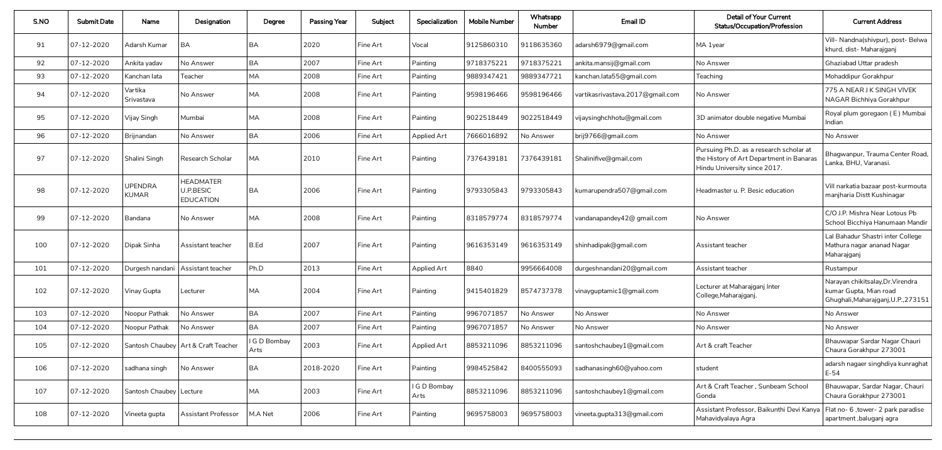| S.NO | <b>Submit Date</b> | Name                           | Designation                                              | Degree               | <b>Passing Year</b> | Subject  | Specialization       | <b>Mobile Number</b> | Whatsapp<br><b>Number</b> | Email ID                         | <b>Detail of Your Current</b><br><b>Status/Occupation/Profession</b>                                                | <b>Current Address</b>                                                                             |
|------|--------------------|--------------------------------|----------------------------------------------------------|----------------------|---------------------|----------|----------------------|----------------------|---------------------------|----------------------------------|---------------------------------------------------------------------------------------------------------------------|----------------------------------------------------------------------------------------------------|
| 91   | 07-12-2020         | Adarsh Kumar                   | <b>BA</b>                                                | <b>BA</b>            | 2020                | Fine Art | Vocal                | 9125860310           | 9118635360                | adarsh6979@gmail.com             | MA 1year                                                                                                            | Vill- Nandna(shivpur), post- Belwa<br>khurd, dist- Maharajganj                                     |
| 92   | 07-12-2020         | Ankita yadav                   | No Answer                                                | <b>BA</b>            | 2007                | Fine Art | Painting             | 9718375221           | 9718375221                | ankita.mansij@gmail.com          | No Answer                                                                                                           | Ghaziabad Uttar pradesh                                                                            |
| 93   | 07-12-2020         | Kanchan lata                   | Teacher                                                  | <b>MA</b>            | 2008                | Fine Art | Painting             | 9889347421           | 9889347721                | kanchan.lata55@gmail.com         | Teaching                                                                                                            | Mohaddipur Gorakhpur                                                                               |
| 94   | 07-12-2020         | Vartika<br>Srivastava          | No Answer                                                | <b>MA</b>            | 2008                | Fine Art | Painting             | 9598196466           | 9598196466                | vartikasrivastava.2017@gmail.com | No Answer                                                                                                           | 775 A NEAR J K SINGH VIVEK<br>NAGAR Bichhiya Gorakhpur                                             |
| 95   | 07-12-2020         | Vijay Singh                    | Mumbai                                                   | <b>MA</b>            | 2008                | Fine Art | Painting             | 9022518449           | 9022518449                | vijaysinghchhotu@gmail.com       | 3D animator double negative Mumbai                                                                                  | Royal plum goregaon (E) Mumbai<br>Indian                                                           |
| 96   | 07-12-2020         | Brijnandan                     | No Answer                                                | <b>BA</b>            | 2006                | Fine Art | <b>Applied Art</b>   | 7666016892           | No Answer                 | brij9766@gmail.com               | No Answer                                                                                                           | No Answer                                                                                          |
| 97   | $ 07 - 12 - 2020 $ | Shalini Singh                  | <b>Research Scholar</b>                                  | <b>MA</b>            | 2010                | Fine Art | Painting             | 7376439181           | 7376439181                | Shalinifive@gmail.com            | Pursuing Ph.D. as a research scholar at<br>the History of Art Department in Banaras<br>Hindu University since 2017. | Bhagwanpur, Trauma Center Road<br>Lanka, BHU, Varanasi.                                            |
| 98   | $ 07 - 12 - 2020 $ | <b>UPENDRA</b><br><b>KUMAR</b> | <b>HEADMATER</b><br><b>U.P.BESIC</b><br><b>EDUCATION</b> | <b>BA</b>            | 2006                | Fine Art | Painting             | 9793305843           | 9793305843                | kumarupendra507@gmail.com        | Headmaster u. P. Besic education                                                                                    | Vill narkatia bazaar post-kurmouta<br>manjharia Distt Kushinagar                                   |
| 99   | $ 07 - 12 - 2020 $ | Bandana                        | No Answer                                                | <b>MA</b>            | 2008                | Fine Art | Painting             | 8318579774           | 8318579774                | vandanapandey42@ gmail.com       | No Answer                                                                                                           | C/O J.P. Mishra Near Lotous Pb<br>School Bicchiya Hanumaan Mandir                                  |
| 100  | $ 07 - 12 - 2020 $ | Dipak Sinha                    | Assistant teacher                                        | B.Ed                 | 2007                | Fine Art | Painting             | 9616353149           | 9616353149                | shinhadipak@gmail.com            | Assistant teacher                                                                                                   | Lal Bahadur Shastri inter College<br>Mathura nagar ananad Nagar<br>Maharajganj                     |
| 101  | 07-12-2020         |                                | Durgesh nandani   Assistant teacher                      | Ph.D                 | 2013                | Fine Art | <b>Applied Art</b>   | 8840                 | 9956664008                | durgeshnandani20@gmail.com       | Assistant teacher                                                                                                   | Rustampur                                                                                          |
| 102  | $07 - 12 - 2020$   | Vinay Gupta                    | Lecturer                                                 | <b>MA</b>            | 2004                | Fine Art | Painting             | 9415401829           | 8574737378                | vinayguptamic1@gmail.com         | Lecturer at Maharajganj Inter<br>College, Maharajganj.                                                              | Narayan chikitsalay, Dr. Virendra<br>kumar Gupta, Mian road<br>Ghughali, Maharajganj, U.P., 273151 |
| 103  | 07-12-2020         | Noopur Pathak                  | No Answer                                                | <b>BA</b>            | 2007                | Fine Art | Painting             | 9967071857           | No Answer                 | No Answer                        | No Answer                                                                                                           | No Answer                                                                                          |
| 104  | 07-12-2020         | Noopur Pathak                  | No Answer                                                | <b>BA</b>            | 2007                | Fine Art | Painting             | 9967071857           | No Answer                 | No Answer                        | No Answer                                                                                                           | No Answer                                                                                          |
| 105  | $07 - 12 - 2020$   |                                | Santosh Chaubey   Art & Craft Teacher                    | I G D Bombay<br>Arts | 2003                | Fine Art | <b>Applied Art</b>   | 8853211096           | 8853211096                | santoshchaubey1@gmail.com        | Art & craft Teacher                                                                                                 | Bhauwapar Sardar Nagar Chauri<br>Chaura Gorakhpur 273001                                           |
| 106  | 07-12-2020         | sadhana singh                  | No Answer                                                | <b>BA</b>            | 2018-2020           | Fine Art | Painting             | 9984525842           | 8400555093                | sadhanasingh60@yahoo.com         | student                                                                                                             | adarsh nagaer singhdiya kunraghat<br>$E-54$                                                        |
| 107  | 07-12-2020         | Santosh Chaubey   Lecture      |                                                          | <b>MA</b>            | 2003                | Fine Art | I G D Bombay<br>Arts | 8853211096           | 8853211096                | santoshchaubey1@gmail.com        | Art & Craft Teacher, Sunbeam School<br>Gonda                                                                        | Bhauwapar, Sardar Nagar, Chauri<br>Chaura Gorakhpur 273001                                         |
| 108  | $ 07 - 12 - 2020 $ | Vineeta gupta                  | <b>Assistant Professor</b>                               | M.A Net              | 2006                | Fine Art | Painting             | 9695758003           | 9695758003                | vineeta.gupta313@gmail.com       | Assistant Professor, Baikunthi Devi Kanya   Flat no- 6, tower- 2 park paradise<br>Mahavidyalaya Agra                | apartment, baluganj agra                                                                           |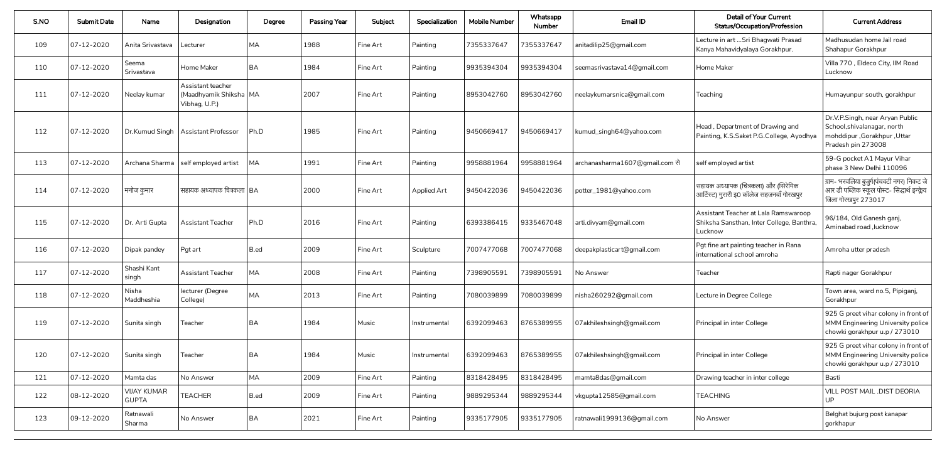| S.NO | <b>Submit Date</b> | Name                               | Designation                                                    | Degree    | <b>Passing Year</b> | Subject  | Specialization | <b>Mobile Number</b> | Whatsapp<br><b>Number</b> | Email ID                       | <b>Detail of Your Current</b><br><b>Status/Occupation/Profession</b>                         | <b>Current Address</b>                                                                                              |
|------|--------------------|------------------------------------|----------------------------------------------------------------|-----------|---------------------|----------|----------------|----------------------|---------------------------|--------------------------------|----------------------------------------------------------------------------------------------|---------------------------------------------------------------------------------------------------------------------|
| 109  | 07-12-2020         | Anita Srivastava                   | Lecturer                                                       | <b>MA</b> | 1988                | Fine Art | Painting       | 7355337647           | 7355337647                | anitadilip25@gmail.com         | Lecture in art  Sri Bhagwati Prasad<br>Kanya Mahavidyalaya Gorakhpur.                        | Madhusudan home Jail road<br>Shahapur Gorakhpur                                                                     |
| 110  | 07-12-2020         | Seema<br>Srivastava                | Home Maker                                                     | <b>BA</b> | 1984                | Fine Art | Painting       | 9935394304           | 9935394304                | seemasrivastava14@gmail.com    | Home Maker                                                                                   | Villa 770, Eldeco City, IIM Road<br>Lucknow                                                                         |
| 111  | 07-12-2020         | Neelay kumar                       | Assistant teacher<br>(Maadhyamik Shiksha   MA<br>Vibhag, U.P.) |           | 2007                | Fine Art | Painting       | 8953042760           | 8953042760                | neelaykumarsnica@gmail.com     | Teaching                                                                                     | Humayunpur south, gorakhpur                                                                                         |
| 112  | 07-12-2020         |                                    | Dr.Kumud Singh   Assistant Professor                           | Ph.D      | 1985                | Fine Art | Painting       | 9450669417           | 9450669417                | kumud_singh64@yahoo.com        | Head, Department of Drawing and<br>Painting, K.S.Saket P.G.College, Ayodhya                  | Dr.V.P.Singh, near Aryan Public<br>School, shivalanagar, north<br>mohddipur, Gorakhpur, Uttar<br>Pradesh pin 273008 |
| 113  | 07-12-2020         |                                    | Archana Sharma   self employed artist                          | <b>MA</b> | 1991                | Fine Art | Painting       | 9958881964           | 9958881964                | archanasharma1607@gmail.com से | self employed artist                                                                         | 59-G pocket A1 Mayur Vihar<br>phase 3 New Delhi 110096                                                              |
| 114  | 07-12-2020         | । मनोज कुमार                       | सहायक अध्यापक चित्रकला   BA                                    |           | 2000                | Fine Art | Applied Art    | 9450422036           | 9450422036                | potter_1981@yahoo.com          | सहायक अध्यापक (चित्रकला) और (सिरेमिक<br>आर्टिस्ट) मुरारी इ0 कॉलेज सहजनवाँ गोरखपुर            | ग्राम- भरवलिया बुजुर्ग(पंचवटी नगर) निकट जे<br>आर डी पब्लिक स्कूल पोस्ट- सिद्धार्थ इन्क्लेव<br>जिला गोरखपुर 273017   |
| 115  | $ 07 - 12 - 2020 $ | Dr. Arti Gupta                     | <b>Assistant Teacher</b>                                       | Ph.D      | 2016                | Fine Art | Painting       | 6393386415           | 9335467048                | arti.divyam@gmail.com          | Assistant Teacher at Lala Ramswaroop<br>Shiksha Sansthan, Inter College, Banthra,<br>Lucknow | 96/184, Old Ganesh ganj,<br>Aminabad road, lucknow                                                                  |
| 116  | 07-12-2020         | Dipak pandey                       | Pgt art                                                        | B.ed      | 2009                | Fine Art | Sculpture      | 7007477068           | 7007477068                | deepakplasticart@gmail.com     | Pgt fine art painting teacher in Rana<br>international school amroha                         | Amroha utter pradesh                                                                                                |
| 117  | 07-12-2020         | Shashi Kant<br>singh               | <b>Assistant Teacher</b>                                       | <b>MA</b> | 2008                | Fine Art | Painting       | 7398905591           | 7398905591                | No Answer                      | Teacher                                                                                      | Rapti nager Gorakhpur                                                                                               |
| 118  | 07-12-2020         | Nisha<br>Maddheshia                | lecturer (Degree<br>College)                                   | <b>MA</b> | $\vert 2013$        | Fine Art | Painting       | 7080039899           | 7080039899                | nisha260292@gmail.com          | Lecture in Degree College                                                                    | Town area, ward no.5, Pipiganj,<br>Gorakhpur                                                                        |
| 119  | 07-12-2020         | Sunita singh                       | Teacher                                                        | <b>BA</b> | 1984                | Music    | Instrumental   | 6392099463           | 8765389955                | 07akhileshsingh@gmail.com      | Principal in inter College                                                                   | 925 G preet vihar colony in front of<br>MMM Engineering University police<br>chowki gorakhpur u.p / 273010          |
| 120  | 07-12-2020         | Sunita singh                       | Teacher                                                        | <b>BA</b> | 1984                | Music    | Instrumental   | 6392099463           | 8765389955                | 07 akhileshsingh@gmail.com     | Principal in inter College                                                                   | 925 G preet vihar colony in front of<br>MMM Engineering University police<br>chowki gorakhpur u.p / 273010          |
| 121  | 07-12-2020         | Mamta das                          | No Answer                                                      | MA        | 2009                | Fine Art | Painting       | 8318428495           | 8318428495                | mamta8das@gmail.com            | Drawing teacher in inter college                                                             | Basti                                                                                                               |
| 122  | 08-12-2020         | <b>VIJAY KUMAR</b><br><b>GUPTA</b> | <b>TEACHER</b>                                                 | B.ed      | 2009                | Fine Art | Painting       | 9889295344           | 9889295344                | vkgupta12585@gmail.com         | <b>TEACHING</b>                                                                              | VILL POST MAIL .DIST DEORIA<br>UP                                                                                   |
| 123  | 09-12-2020         | Ratnawali<br>Sharma                | No Answer                                                      | <b>BA</b> | 2021                | Fine Art | Painting       | 9335177905           | 9335177905                | ratnawali1999136@gmail.com     | No Answer                                                                                    | Belghat bujurg post kanapar<br>gorkhapur                                                                            |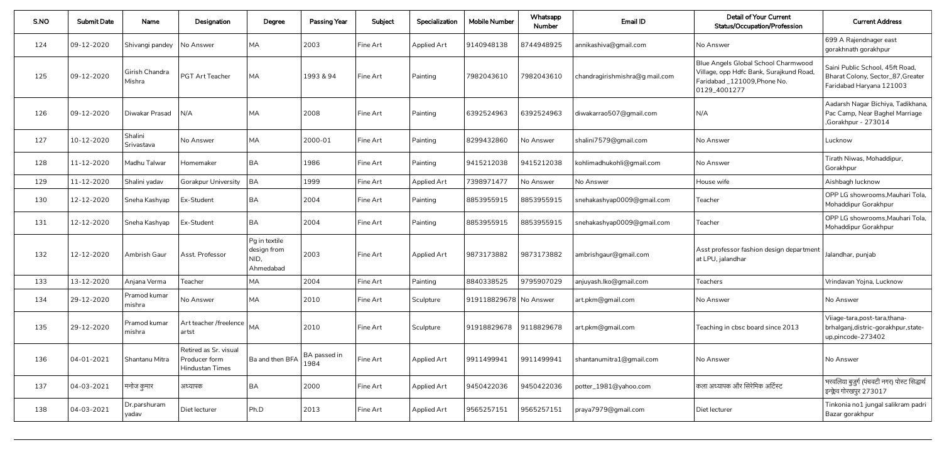| S.NO | <b>Submit Date</b> | Name                     | Designation                                               | Degree                                            | <b>Passing Year</b>  | Subject  | Specialization     | <b>Mobile Number</b>   | Whatsapp<br><b>Number</b> | Email ID                       | <b>Detail of Your Current</b><br><b>Status/Occupation/Profession</b>                                                         | <b>Current Address</b>                                                                           |
|------|--------------------|--------------------------|-----------------------------------------------------------|---------------------------------------------------|----------------------|----------|--------------------|------------------------|---------------------------|--------------------------------|------------------------------------------------------------------------------------------------------------------------------|--------------------------------------------------------------------------------------------------|
| 124  | 09-12-2020         | Shivangi pandey          | No Answer                                                 | <b>MA</b>                                         | 2003                 | Fine Art | <b>Applied Art</b> | 9140948138             | 8744948925                | annikashiva@gmail.com          | No Answer                                                                                                                    | 699 A Rajendnager east<br>gorakhnath gorakhpur                                                   |
| 125  | 09-12-2020         | Girish Chandra<br>Mishra | PGT Art Teacher                                           | <b>MA</b>                                         | 1993 & 94            | Fine Art | Painting           | 7982043610             | 7982043610                | chandragirishmishra@g mail.com | Blue Angels Global School Charmwood<br>Village, opp Hdfc Bank, Surajkund Road<br>Faridabad_121009, Phone No.<br>0129_4001277 | Saini Public School, 45ft Road,<br>Bharat Colony, Sector_87, Greater<br>Faridabad Haryana 121003 |
| 126  | 09-12-2020         | Diwakar Prasad           | N/A                                                       | <b>MA</b>                                         | 2008                 | Fine Art | Painting           | 6392524963             | 6392524963                | diwakarrao507@gmail.com        | N/A                                                                                                                          | Aadarsh Nagar Bichiya, Tadikhana,<br>Pac Camp, Near Baghel Marriage<br>,Gorakhpur - 273014       |
| 127  | 10-12-2020         | Shalini<br>Srivastava    | No Answer                                                 | <b>MA</b>                                         | 2000-01              | Fine Art | Painting           | 8299432860             | No Answer                 | shalini7579@gmail.com          | No Answer                                                                                                                    | Lucknow                                                                                          |
| 128  | 11-12-2020         | Madhu Talwar             | Homemaker                                                 | <b>BA</b>                                         | 1986                 | Fine Art | Painting           | 9415212038             | 9415212038                | kohlimadhukohli@gmail.com      | No Answer                                                                                                                    | Tirath Niwas, Mohaddipur,<br>Gorakhpur                                                           |
| 129  | 11-12-2020         | Shalini yadav            | <b>Gorakpur University</b>                                | BA                                                | 1999                 | Fine Art | <b>Applied Art</b> | 7398971477             | No Answer                 | No Answer                      | House wife                                                                                                                   | Aishbagh lucknow                                                                                 |
| 130  | 12-12-2020         | Sneha Kashyap            | Ex-Student                                                | <b>BA</b>                                         | 2004                 | Fine Art | Painting           | 8853955915             | 8853955915                | snehakashyap0009@gmail.com     | Teacher                                                                                                                      | OPP LG showrooms, Mauhari Tola,<br>Mohaddipur Gorakhpur                                          |
| 131  | 12-12-2020         | Sneha Kashyap            | Ex-Student                                                | <b>BA</b>                                         | 2004                 | Fine Art | Painting           | 8853955915             | 8853955915                | snehakashyap0009@gmail.com     | Teacher                                                                                                                      | OPP LG showrooms, Mauhari Tola,<br>Mohaddipur Gorakhpur                                          |
| 132  | 12-12-2020         | Ambrish Gaur             | Asst. Professor                                           | Pg in textile<br>design from<br>NID,<br>Ahmedabad | 2003                 | Fine Art | <b>Applied Art</b> | 9873173882             | 9873173882                | ambrishgaur@gmail.com          | Asst professor fashion design department<br>at LPU, jalandhar                                                                | Jalandhar, punjab                                                                                |
| 133  | 13-12-2020         | Anjana Verma             | Teacher                                                   | <b>MA</b>                                         | 2004                 | Fine Art | Painting           | 8840338525             | 9795907029                | anjuyash.lko@gmail.com         | <b>Teachers</b>                                                                                                              | Vrindavan Yojna, Lucknow                                                                         |
| 134  | 29-12-2020         | Pramod kumar<br>mishra   | No Answer                                                 | <b>MA</b>                                         | 2010                 | Fine Art | Sculpture          | 919118829678 No Answer |                           | art.pkm@gmail.com              | No Answer                                                                                                                    | No Answer                                                                                        |
| 135  | 29-12-2020         | Pramod kumar<br>mishra   | Art teacher /freelence   MA<br>artst                      |                                                   | 2010                 | Fine Art | Sculpture          | 91918829678            | 9118829678                | art.pkm@gmail.com              | Teaching in cbsc board since 2013                                                                                            | Viiage-tara, post-tara, thana-<br>brhalganj, distric-gorakhpur, state-<br>up,pincode-273402      |
| 136  | 04-01-2021         | Shantanu Mitra           | Retired as Sr. visual<br>Producer form<br>Hindustan Times | Ba and then BFA                                   | BA passed in<br>1984 | Fine Art | Applied Art        | 9911499941             | 9911499941                | shantanumitra1@gmail.com       | No Answer                                                                                                                    | No Answer                                                                                        |
| 137  | 04-03-2021         | मनोज कुमार               | अध्यापक                                                   | <b>BA</b>                                         | 2000                 | Fine Art | Applied Art        | 9450422036             | 9450422036                | potter_1981@yahoo.com          | कला अध्यापक और सिरेमिक अर्टिस्ट                                                                                              | भरवलिया बुजुर्ग (पंचवटी नगर) पोस्ट सिद्धार्थ<br>इन्क्लेव गोरखपुर 273017                          |
| 138  | 04-03-2021         | Dr.parshuram<br>yadav    | Diet lecturer                                             | Ph.D                                              | 2013                 | Fine Art | <b>Applied Art</b> | 9565257151             | 9565257151                | praya7979@gmail.com            | Diet lecturer                                                                                                                | Tinkonia no1 jungal salikram padri<br>Bazar gorakhpur                                            |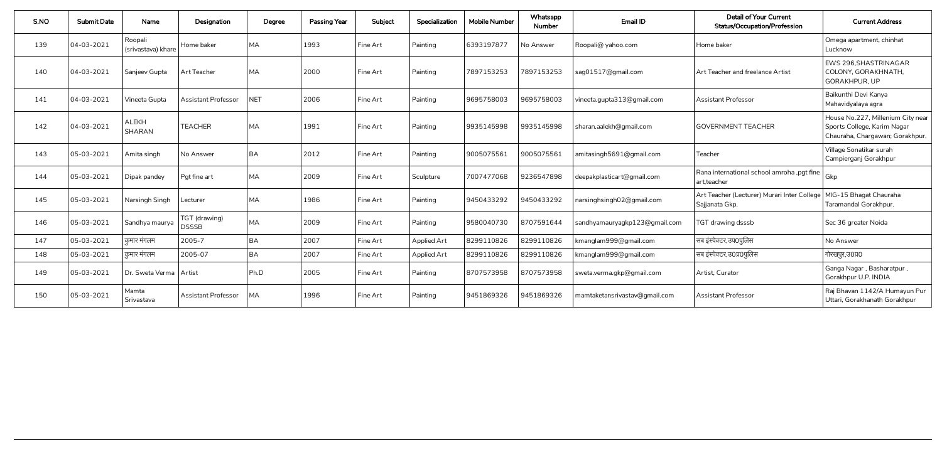| S.NO | <b>Submit Date</b> | Name                          | Designation                   | Degree     | <b>Passing Year</b> | Subject  | Specialization     | <b>Mobile Number</b> | Whatsapp<br><b>Number</b> | Email ID                      | <b>Detail of Your Current</b><br><b>Status/Occupation/Profession</b> | <b>Current Address</b>                                                                              |
|------|--------------------|-------------------------------|-------------------------------|------------|---------------------|----------|--------------------|----------------------|---------------------------|-------------------------------|----------------------------------------------------------------------|-----------------------------------------------------------------------------------------------------|
| 139  | 04-03-2021         | Roopali<br>(srivastava) khare | Home baker                    | <b>MA</b>  | 1993                | Fine Art | Painting           | 6393197877           | No Answer                 | Roopali@ yahoo.com            | Home baker                                                           | Omega apartment, chinhat<br>Lucknow                                                                 |
| 140  | 04-03-2021         | Sanjeev Gupta                 | Art Teacher                   | <b>MA</b>  | 2000                | Fine Art | Painting           | 7897153253           | 7897153253                | sag01517@gmail.com            | Art Teacher and freelance Artist                                     | EWS 296, SHASTRINAGAR<br>COLONY, GORAKHNATH,<br><b>GORAKHPUR, UP</b>                                |
| 141  | 04-03-2021         | Vineeta Gupta                 | <b>Assistant Professor</b>    | <b>NET</b> | 2006                | Fine Art | Painting           | 9695758003           | 9695758003                | vineeta.gupta313@gmail.com    | <b>Assistant Professor</b>                                           | Baikunthi Devi Kanya<br>Mahavidyalaya agra                                                          |
| 142  | 04-03-2021         | <b>ALEKH</b><br>SHARAN        | <b>TEACHER</b>                | <b>MA</b>  | 1991                | Fine Art | Painting           | 9935145998           | 9935145998                | sharan.aalekh@gmail.com       | <b>GOVERNMENT TEACHER</b>                                            | House No.227, Millenium City near<br>Sports College, Karim Nagar<br>Chauraha, Chargawan; Gorakhpur. |
| 143  | 05-03-2021         | Amita singh                   | No Answer                     | <b>BA</b>  | 2012                | Fine Art | Painting           | 9005075561           | 9005075561                | amitasingh5691@gmail.com      | Teacher                                                              | Village Sonatikar surah<br>Campierganj Gorakhpur                                                    |
| 144  | 05-03-2021         | Dipak pandey                  | Pgt fine art                  | <b>MA</b>  | 2009                | Fine Art | Sculpture          | 7007477068           | 9236547898                | deepakplasticart@gmail.com    | Rana international school amroha, pgt fine<br>art, teacher           | Gkp                                                                                                 |
| 145  | 05-03-2021         | Narsingh Singh                | Lecturer                      | <b>MA</b>  | 1986                | Fine Art | Painting           | 9450433292           | 9450433292                | narsinghsingh02@gmail.com     | Art Teacher (Lecturer) Murari Inter College<br>Sajjanata Gkp.        | MIG-15 Bhagat Chauraha<br>Taramandal Gorakhpur.                                                     |
| 146  | 05-03-2021         | Sandhya maurya                | TGT (drawing)<br><b>DSSSB</b> | <b>MA</b>  | 2009                | Fine Art | Painting           | 9580040730           | 8707591644                | sandhyamauryagkp123@gmail.com | TGT drawing dsssb                                                    | Sec 36 greater Noida                                                                                |
| 147  | 05-03-2021         | कुमार मंगलम                   | 2005-7                        | <b>BA</b>  | 2007                | Fine Art | <b>Applied Art</b> | 8299110826           | 8299110826                | kmanglam999@gmail.com         | सब इंस्पेक्टर,उप0पुलिस                                               | No Answer                                                                                           |
| 148  | 05-03-2021         | कुमार मंगलम                   | 2005-07                       | <b>BA</b>  | 2007                | Fine Art | <b>Applied Art</b> | 8299110826           | 8299110826                | kmanglam999@gmail.com         | सब इंस्पेक्टर,उ0प्र0पुलिस                                            | गोरखपुर,उ०प्र०                                                                                      |
| 149  | 05-03-2021         | Dr. Sweta Verma               | Artist                        | Ph.D       | 2005                | Fine Art | Painting           | 8707573958           | 8707573958                | sweta.verma.gkp@gmail.com     | Artist, Curator                                                      | Ganga Nagar, Basharatpur,<br>Gorakhpur U.P. INDIA                                                   |
| 150  | 05-03-2021         | Mamta<br>Srivastava           | <b>Assistant Professor</b>    | <b>MA</b>  | 1996                | Fine Art | Painting           | 9451869326           | 9451869326                | mamtaketansrivastav@gmail.com | <b>Assistant Professor</b>                                           | Raj Bhavan 1142/A Humayun Pur<br>Uttari, Gorakhanath Gorakhpur                                      |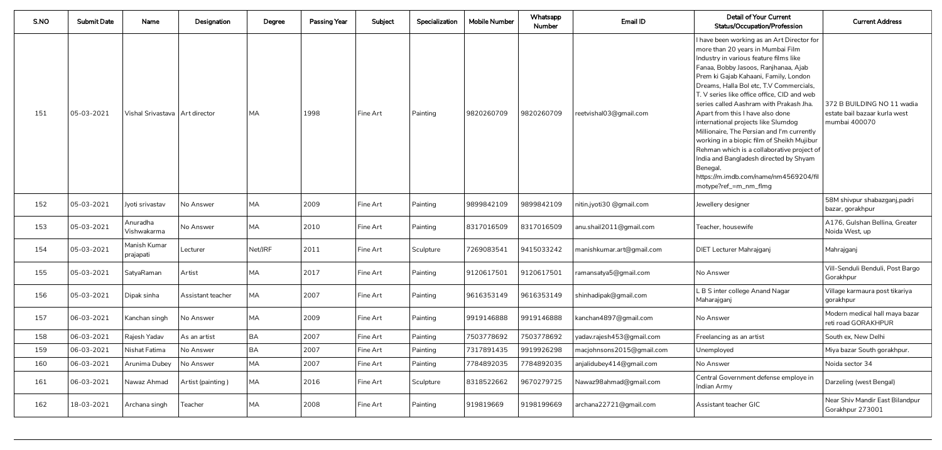| S.NO | <b>Submit Date</b> | Name                             | Designation       | Degree    | <b>Passing Year</b> | Subject  | Specialization | <b>Mobile Number</b> | Whatsapp<br>Number | Email ID                  | <b>Detail of Your Current</b><br><b>Status/Occupation/Profession</b>                                                                                                                                                                                                                                                                                                                                                                                                                                                                                                                                                                                                                                         | <b>Current Address</b>                                                       |
|------|--------------------|----------------------------------|-------------------|-----------|---------------------|----------|----------------|----------------------|--------------------|---------------------------|--------------------------------------------------------------------------------------------------------------------------------------------------------------------------------------------------------------------------------------------------------------------------------------------------------------------------------------------------------------------------------------------------------------------------------------------------------------------------------------------------------------------------------------------------------------------------------------------------------------------------------------------------------------------------------------------------------------|------------------------------------------------------------------------------|
| 151  | 05-03-2021         | Vishal Srivastava   Art director |                   | <b>MA</b> | 1998                | Fine Art | Painting       | 9820260709           | 9820260709         | reetvishal03@gmail.com    | I have been working as an Art Director for<br>$\mid$ more than 20 years in Mumbai Film<br>Industry in various feature films like<br>Fanaa, Bobby Jasoos, Ranjhanaa, Ajab<br>Prem ki Gajab Kahaani, Family, London<br>Dreams, Halla Bol etc, T.V Commercials,<br>T. V series like office office, CID and web<br>$\mid$ series called Aashram with Prakash Jha.<br>Apart from this I have also done<br>international projects like Slumdog<br>Millionaire, The Persian and I'm currently<br>working in a biopic film of Sheikh Mujibur<br>Rehman which is a collaborative project of<br>India and Bangladesh directed by Shyam<br>Benegal.<br>https://m.imdb.com/name/nm4569204/fil<br>  motype?ref_=m_nm_flmg | 372 B BUILDING NO 11 wadia<br>estate bail bazaar kurla west<br>mumbai 400070 |
| 152  | 05-03-2021         | Jyoti srivastav                  | No Answer         | <b>MA</b> | 2009                | Fine Art | Painting       | 9899842109           | 9899842109         | nitin.jyoti30 @gmail.com  | Jewellery designer                                                                                                                                                                                                                                                                                                                                                                                                                                                                                                                                                                                                                                                                                           | 58M shivpur shabazganj, padri<br>bazar, gorakhpur                            |
| 153  | 05-03-2021         | Anuradha<br>Vishwakarma          | No Answer         | <b>MA</b> | 2010                | Fine Art | Painting       | 8317016509           | 8317016509         | anu.shail2011@gmail.com   | Teacher, housewife                                                                                                                                                                                                                                                                                                                                                                                                                                                                                                                                                                                                                                                                                           | A176, Gulshan Bellina, Greater<br>Noida West, up                             |
| 154  | 05-03-2021         | Manish Kumar<br>prajapati        | Lecturer          | Net/JRF   | 2011                | Fine Art | Sculpture      | 7269083541           | 9415033242         | manishkumar.art@gmail.com | DIET Lecturer Mahrajganj                                                                                                                                                                                                                                                                                                                                                                                                                                                                                                                                                                                                                                                                                     | Mahrajganj                                                                   |
| 155  | 05-03-2021         | SatyaRaman                       | Artist            | MA        | 2017                | Fine Art | Painting       | 9120617501           | 9120617501         | ramansatya5@gmail.com     | No Answer                                                                                                                                                                                                                                                                                                                                                                                                                                                                                                                                                                                                                                                                                                    | Vill-Senduli Benduli, Post Bargo<br>Gorakhpur                                |
| 156  | 05-03-2021         | Dipak sinha                      | Assistant teacher | <b>MA</b> | 2007                | Fine Art | Painting       | 9616353149           | 9616353149         | shinhadipak@gmail.com     | L B S inter college Anand Nagar<br>Maharajganj                                                                                                                                                                                                                                                                                                                                                                                                                                                                                                                                                                                                                                                               | Village karmaura post tikariya<br>gorakhpur                                  |
| 157  | 06-03-2021         | Kanchan singh                    | No Answer         | <b>MA</b> | 2009                | Fine Art | Painting       | 9919146888           | 9919146888         | kanchan4897@gmail.com     | No Answer                                                                                                                                                                                                                                                                                                                                                                                                                                                                                                                                                                                                                                                                                                    | Modern medical hall maya bazar<br>reti road GORAKHPUR                        |
| 158  | 06-03-2021         | Rajesh Yadav                     | As an artist      | BA        | 2007                | Fine Art | Painting       | 7503778692           | 7503778692         | yadav.rajesh453@gmail.com | Freelancing as an artist                                                                                                                                                                                                                                                                                                                                                                                                                                                                                                                                                                                                                                                                                     | South ex, New Delhi                                                          |
| 159  | 06-03-2021         | Nishat Fatima                    | No Answer         | BA        | 2007                | Fine Art | Painting       | 7317891435           | 9919926298         | macjohnsons2015@gmail.com | Unemployed                                                                                                                                                                                                                                                                                                                                                                                                                                                                                                                                                                                                                                                                                                   | Miya bazar South gorakhpur.                                                  |
| 160  | 06-03-2021         | Arunima Dubey                    | No Answer         | <b>MA</b> | 2007                | Fine Art | Painting       | 7784892035           | 7784892035         | anjalidubey414@gmail.com  | No Answer                                                                                                                                                                                                                                                                                                                                                                                                                                                                                                                                                                                                                                                                                                    | Noida sector 34                                                              |
| 161  | 06-03-2021         | Nawaz Ahmad                      | Artist (painting) | <b>MA</b> | 2016                | Fine Art | Sculpture      | 8318522662           | 9670279725         | Nawaz98ahmad@gmail.com    | Central Government defense employe in<br>Indian Army                                                                                                                                                                                                                                                                                                                                                                                                                                                                                                                                                                                                                                                         | Darzeling (west Bengal)                                                      |
| 162  | 18-03-2021         | Archana singh                    | Teacher           | <b>MA</b> | 2008                | Fine Art | Painting       | 919819669            | 9198199669         | archana22721@gmail.com    | Assistant teacher GIC                                                                                                                                                                                                                                                                                                                                                                                                                                                                                                                                                                                                                                                                                        | Near Shiv Mandir East Bilandpur<br>Gorakhpur 273001                          |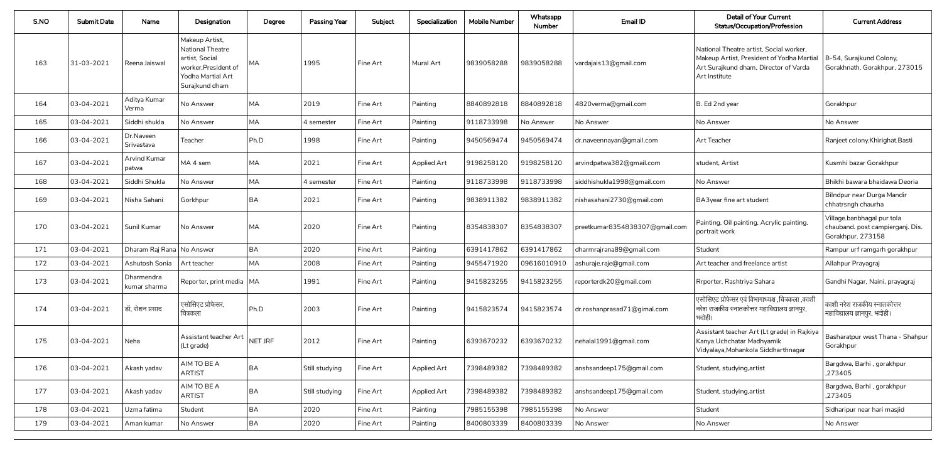| S.NO | <b>Submit Date</b> | Name                         | Designation                                                                                                                | Degree    | <b>Passing Year</b> | Subject  | Specialization     | <b>Mobile Number</b> | Whatsapp<br><b>Number</b> | Email ID                                       | <b>Detail of Your Current</b><br><b>Status/Occupation/Profession</b>                                                                           | <b>Current Address</b>                                                              |
|------|--------------------|------------------------------|----------------------------------------------------------------------------------------------------------------------------|-----------|---------------------|----------|--------------------|----------------------|---------------------------|------------------------------------------------|------------------------------------------------------------------------------------------------------------------------------------------------|-------------------------------------------------------------------------------------|
| 163  | 31-03-2021         | Reena Jaiswal                | Makeup Artist,<br><b>National Theatre</b><br>artist, Social<br>worker, President of<br>Yodha Martial Art<br>Surajkund dham | MA.       | 1995                | Fine Art | Mural Art          | 9839058288           | 9839058288                | vardajais13@gmail.com                          | National Theatre artist, Social worker,<br>Makeup Artist, President of Yodha Martial<br>Art Surajkund dham, Director of Varda<br>Art Institute | B-54, Surajkund Colony,<br>Gorakhnath, Gorakhpur, 273015                            |
| 164  | 03-04-2021         | Aditya Kumar<br>Verma        | No Answer                                                                                                                  | MA        | 2019                | Fine Art | Painting           | 8840892818           | 8840892818                | 4820verma@gmail.com                            | B. Ed 2nd year                                                                                                                                 | Gorakhpur                                                                           |
| 165  | 03-04-2021         | Siddhi shukla                | No Answer                                                                                                                  | <b>MA</b> | 4 semester          | Fine Art | Painting           | 9118733998           | No Answer                 | No Answer                                      | No Answer                                                                                                                                      | No Answer                                                                           |
| 166  | 03-04-2021         | Dr.Naveen<br>Srivastava      | Teacher                                                                                                                    | Ph.D      | 1998                | Fine Art | Painting           | 9450569474           | 9450569474                | dr.naveennayan@gmail.com                       | Art Teacher                                                                                                                                    | Ranjeet colony. Khirighat. Basti                                                    |
| 167  | 03-04-2021         | Arvind Kumar<br>patwa        | IMA 4 sem                                                                                                                  | MA        | 2021                | Fine Art | <b>Applied Art</b> | 9198258120           | 9198258120                | arvindpatwa382@gmail.com                       | student, Artist                                                                                                                                | Kusmhi bazar Gorakhpur                                                              |
| 168  | 03-04-2021         | Siddhi Shukla                | No Answer                                                                                                                  | MA        | 4 semester          | Fine Art | Painting           | 9118733998           | 9118733998                | siddhishukla1998@gmail.com                     | No Answer                                                                                                                                      | Bhikhi bawara bhaidawa Deoria                                                       |
| 169  | 03-04-2021         | Nisha Sahani                 | Gorkhpur                                                                                                                   | <b>BA</b> | 2021                | Fine Art | Painting           | 9838911382           | 9838911382                | nishasahani2730@gmail.com                      | BA3year fine art student                                                                                                                       | Bilndpur near Durga Mandir<br>chhatrsngh chaurha                                    |
| 170  | 03-04-2021         | Sunil Kumar                  | No Answer                                                                                                                  | <b>MA</b> | 2020                | Fine Art | Painting           | 8354838307           | 8354838307                | preetkumar8354838307@gmail.com                 | Painting. Oil painting. Acrylic painting.<br>portrait work                                                                                     | Village.banbhagal pur tola<br>chauband. post campierganj. Dis.<br>Gorakhpur. 273158 |
| 171  | $ 03 - 04 - 2021$  | Dharam Raj Rana   No Answer  |                                                                                                                            | <b>BA</b> | 2020                | Fine Art | Painting           | 6391417862           | 6391417862                | dharmrajrana89@gmail.com                       | Student                                                                                                                                        | Rampur urf ramgarh gorakhpur                                                        |
| 172  | 03-04-2021         | Ashutosh Sonia   Art teacher |                                                                                                                            | MA        | 2008                | Fine Art | Painting           | 9455471920           |                           | $\sqrt{0.09616010910}$ ashuraje.raje@gmail.com | Art teacher and freelance artist                                                                                                               | Allahpur Prayagraj                                                                  |
| 173  | 03-04-2021         | Dharmendra<br>kumar sharma   | Reporter, print media   MA                                                                                                 |           | 1991                | Fine Art | Painting           | 9415823255           | 9415823255                | reporterdk20@gmail.com                         | Rrporter, Rashtriya Sahara                                                                                                                     | Gandhi Nagar, Naini, prayagraj                                                      |
| 174  | 03-04-2021         | $\vert$ डॉ, रोशन प्रसाद      | एसोसिएट प्रोफेसर,<br>चित्रकला                                                                                              | Ph.D      | 2003                | Fine Art | Painting           | 9415823574           | 9415823574                | dr.roshanprasad71@gimal.com                    | एसोसिएट प्रोफेसर एवं विभागाध्यक्ष ,चित्रकला ,काशी<br>नरेश राजकीय स्नातकोत्तर महाविद्यालय ज्ञानपुर,<br>भदोही।                                   | काशी नरेश राजकीय स्नातकोत्तर<br>महाविद्यालय ज्ञानपुर, भदोही।                        |
| 175  | 03-04-2021         | Neha                         | Assistant teacher Art<br>(Lt grade)                                                                                        | NET JRF   | 2012                | Fine Art | Painting           | 6393670232           | 6393670232                | nehalal1991@gmail.com                          | Assistant teacher Art (Lt grade) in Rajkiya<br>Kanya Uchchatar Madhyamik<br>Vidyalaya, Mohankola Siddharthnagar                                | Basharatpur west Thana - Shahpur<br>Gorakhpur                                       |
| 176  | 03-04-2021         | Akash yadav                  | AIM TO BE A<br><b>ARTIST</b>                                                                                               | <b>BA</b> | Still studying      | Fine Art | <b>Applied Art</b> | 7398489382           | 7398489382                | anshsandeep175@gmail.com                       | Student, studying, artist                                                                                                                      | Bargdwa, Barhi, gorakhpur<br>,273405                                                |
| 177  | 03-04-2021         | Akash yadav                  | AIM TO BE A<br><b>ARTIST</b>                                                                                               | <b>BA</b> | Still studying      | Fine Art | <b>Applied Art</b> | 7398489382           | 7398489382                | anshsandeep175@gmail.com                       | Student, studying, artist                                                                                                                      | Bargdwa, Barhi, gorakhpur<br>,273405                                                |
| 178  | 03-04-2021         | Uzma fatima                  | Student                                                                                                                    | BA        | 2020                | Fine Art | Painting           | 7985155398           | 7985155398                | No Answer                                      | Student                                                                                                                                        | Sidharipur near hari masjid                                                         |
| 179  | 03-04-2021         | Aman kumar                   | No Answer                                                                                                                  | BA        | 2020                | Fine Art | Painting           | 8400803339           | 8400803339                | No Answer                                      | No Answer                                                                                                                                      | No Answer                                                                           |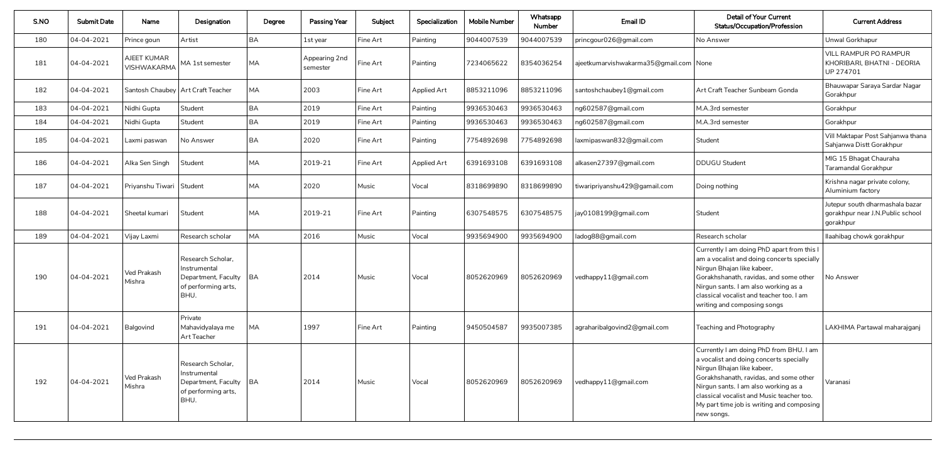| S.NO | <b>Submit Date</b> | Name                                     | Designation                                                                                  | Degree    | <b>Passing Year</b>       | Subject  | Specialization     | <b>Mobile Number</b> | Whatsapp<br><b>Number</b> | Email ID                                 | <b>Detail of Your Current</b><br>Status/Occupation/Profession                                                                                                                                                                                                                                              | <b>Current Address</b>                                                           |
|------|--------------------|------------------------------------------|----------------------------------------------------------------------------------------------|-----------|---------------------------|----------|--------------------|----------------------|---------------------------|------------------------------------------|------------------------------------------------------------------------------------------------------------------------------------------------------------------------------------------------------------------------------------------------------------------------------------------------------------|----------------------------------------------------------------------------------|
| 180  | 04-04-2021         | Prince goun                              | Artist                                                                                       | <b>BA</b> | 1st year                  | Fine Art | Painting           | 9044007539           | 9044007539                | princgour026@gmail.com                   | No Answer                                                                                                                                                                                                                                                                                                  | Unwal Gorkhapur                                                                  |
| 181  | 04-04-2021         | <b>AJEET KUMAR</b><br><b>VISHWAKARMA</b> | MA 1st semester                                                                              | <b>MA</b> | Appearing 2nd<br>semester | Fine Art | Painting           | 7234065622           | 8354036254                | ajeetkumarvishwakarma35@gmail.com   None |                                                                                                                                                                                                                                                                                                            | <b>VILL RAMPUR PO RAMPUR</b><br>KHORIBARI, BHATNI - DEORIA<br>UP 274701          |
| 182  | 04-04-2021         |                                          | Santosh Chaubey   Art Craft Teacher                                                          | <b>MA</b> | 2003                      | Fine Art | <b>Applied Art</b> | 8853211096           | 8853211096                | santoshchaubey1@gmail.com                | Art Craft Teacher Sunbeam Gonda                                                                                                                                                                                                                                                                            | Bhauwapar Saraya Sardar Nagar<br>Gorakhpur                                       |
| 183  | 04-04-2021         | Nidhi Gupta                              | Student                                                                                      | <b>BA</b> | 2019                      | Fine Art | Painting           | 9936530463           | 9936530463                | ng602587@gmail.com                       | M.A.3rd semester                                                                                                                                                                                                                                                                                           | Gorakhpur                                                                        |
| 184  | 04-04-2021         | Nidhi Gupta                              | Student                                                                                      | <b>BA</b> | 2019                      | Fine Art | Painting           | 9936530463           | 9936530463                | ng602587@gmail.com                       | M.A.3rd semester                                                                                                                                                                                                                                                                                           | Gorakhpur                                                                        |
| 185  | 04-04-2021         | Laxmi paswan                             | No Answer                                                                                    | <b>BA</b> | 2020                      | Fine Art | Painting           | 7754892698           | 7754892698                | laxmipaswan832@gmail.com                 | Student                                                                                                                                                                                                                                                                                                    | Vill Maktapar Post Sahjanwa thana<br>Sahjanwa Distt Gorakhpur                    |
| 186  | 04-04-2021         | Alka Sen Singh                           | Student                                                                                      | <b>MA</b> | 2019-21                   | Fine Art | <b>Applied Art</b> | 6391693108           | 6391693108                | alkasen27397@gmail.com                   | <b>DDUGU Student</b>                                                                                                                                                                                                                                                                                       | MIG 15 Bhagat Chauraha<br>Taramandal Gorakhpur                                   |
| 187  | 04-04-2021         | Priyanshu Tiwari   Student               |                                                                                              | <b>MA</b> | 2020                      | Music    | Vocal              | 8318699890           | 8318699890                | tiwaripriyanshu429@gamail.com            | Doing nothing                                                                                                                                                                                                                                                                                              | Krishna nagar private colony,<br>Aluminium factory                               |
| 188  | 04-04-2021         | Sheetal kumari                           | Student                                                                                      | <b>MA</b> | 2019-21                   | Fine Art | Painting           | 6307548575           | 6307548575                | jay0108199@gmail.com                     | Student                                                                                                                                                                                                                                                                                                    | Jutepur south dharmashala bazar<br>gorakhpur near J.N.Public school<br>gorakhpur |
| 189  | 04-04-2021         | Vijay Laxmi                              | Research scholar                                                                             | MA        | 2016                      | Music    | Vocal              | 9935694900           | 9935694900                | ladog88@gmail.com                        | Research scholar                                                                                                                                                                                                                                                                                           | llaahibag chowk gorakhpur                                                        |
| 190  | 04-04-2021         | Ved Prakash<br>Mishra                    | Research Scholar,<br>Instrumental<br>Department, Faculty   BA<br>of performing arts,<br>BHU. |           | 2014                      | Music    | Vocal              | 8052620969           | 8052620969                | vedhappy11@gmail.com                     | Currently I am doing PhD apart from this I<br>am a vocalist and doing concerts specially<br>Nirgun Bhajan like kabeer,<br>Gorakhshanath, ravidas, and some other<br>Nirgun sants. I am also working as a<br>classical vocalist and teacher too. I am<br>writing and composing songs                        | No Answer                                                                        |
| 191  | 04-04-2021         | Balgovind                                | Private<br>Mahavidyalaya me<br>Art Teacher                                                   | <b>MA</b> | 1997                      | Fine Art | Painting           | 9450504587           | 9935007385                | agraharibalgovind2@gmail.com             | Teaching and Photography                                                                                                                                                                                                                                                                                   | LAKHIMA Partawal maharajganj                                                     |
| 192  | 04-04-2021         | Ved Prakash<br>Mishra                    | Research Scholar,<br>Instrumental<br>Department, Faculty   BA<br>of performing arts,<br>BHU. |           | 2014                      | Music    | Vocal              | 8052620969           | 8052620969                | vedhappy11@gmail.com                     | Currently I am doing PhD from BHU. I am<br>a vocalist and doing concerts specially<br>Nirgun Bhajan like kabeer,<br>Gorakhshanath, ravidas, and some other<br>Nirgun sants. I am also working as a<br>classical vocalist and Music teacher too.<br>My part time job is writing and composing<br>new songs. | Varanasi                                                                         |